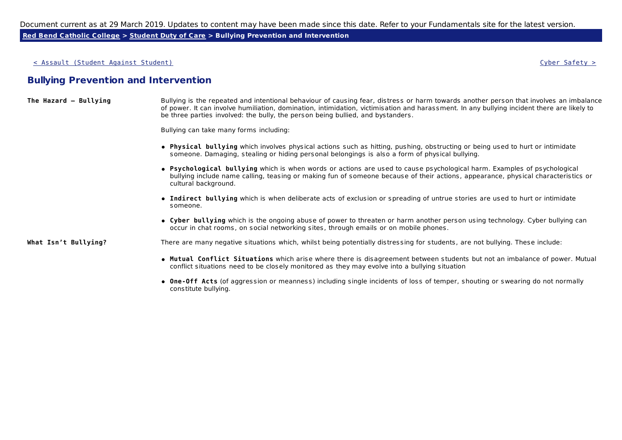Document current as at 29 March 2019. Updates to content may have been made since this date. Refer to your Fundamentals site for the latest version.

**Red Bend Catholic College > Student Duty of Care > Bullying Prevention and Intervention**

< Assault (Student Against Student) Cyber Safety >

## **Bullying Prevention and Intervention**

| The Hazard - Bullying | Bullying is the repeated and intentional behaviour of causing fear, distress or harm towards another person that involves an imbalance     |
|-----------------------|--------------------------------------------------------------------------------------------------------------------------------------------|
|                       | of power. It can involve humiliation, domination, intimidation, victimisation and harassment. In any bullying incident there are likely to |
|                       | be three parties involved: the bully, the person being bullied, and bystanders.                                                            |

Bullying can take many forms including:

- **Physical bullying** which involves physical actions such as hitting, pushing, obstructing or being used to hurt or intimidate someone. Damaging, stealing or hiding personal belongings is also a form of physical bullying.
- **Psychological bullying** which is when words or actions are used to cause psychological harm. Examples of psychological bullying include name calling, teasing or making fun of someone because of their actions, appearance, physical characteristics or cultural background.
- **Indirect bullying** which is when deliberate acts of exclusion or spreading of untrue stories are used to hurt or intimidate someone.
- **Cyber bullying** which is the ongoing abuse of power to threaten or harm another person using technology. Cyber bullying can occur in chat rooms, on social networking sites, through emails or on mobile phones.

**What Isn't Bullying?** There are many negative situations which, whilst being potentially distressing for students, are not bullying. These include:

- **Mutual Conflict Situations** which arise where there is disagreement between students but not an imbalance of power. Mutual conflict situations need to be closely monitored as they may evolve into a bullying situation
- **One-Off Acts** (of aggression or meanness) including single incidents of loss of temper, shouting or swearing do not normally constitute bullying.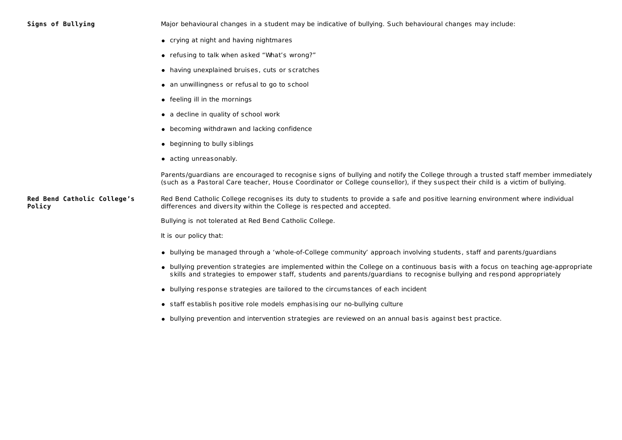|  | Signs of Bullying |  |  |
|--|-------------------|--|--|
|  |                   |  |  |

**Signs of Bullying** Major behavioural changes in a student may be indicative of bullying. Such behavioural changes may include:

- crying at night and having nightmares
- refusing to talk when asked "What's wrong?"
- having unexplained bruises, cuts or scratches
- an unwillingness or refusal to go to school
- feeling ill in the mornings
- a decline in quality of school work
- becoming withdrawn and lacking confidence
- beginning to bully siblings
- acting unreasonably.

Parents/guardians are encouraged to recognise signs of bullying and notify the College through a trusted staff member immediately (such as a Pastoral Care teacher, House Coordinator or College counsellor), if they suspect their child is a victim of bullying.

**Red Bend Catholic College's Policy** Red Bend Catholic College recognises its duty to students to provide a safe and positive learning environment where individual differences and diversity within the College is respected and accepted.

Bullying is not tolerated at Red Bend Catholic College.

It is our policy that:

- bullying be managed through a 'whole-of-College community' approach involving students, staff and parents/guardians
- bullying prevention strategies are implemented within the College on a continuous basis with a focus on teaching age-appropriate skills and strategies to empower staff, students and parents/guardians to recognise bullying and respond appropriately
- bullying response strategies are tailored to the circumstances of each incident
- staff establish positive role models emphasising our no-bullying culture
- bullying prevention and intervention strategies are reviewed on an annual basis against best practice.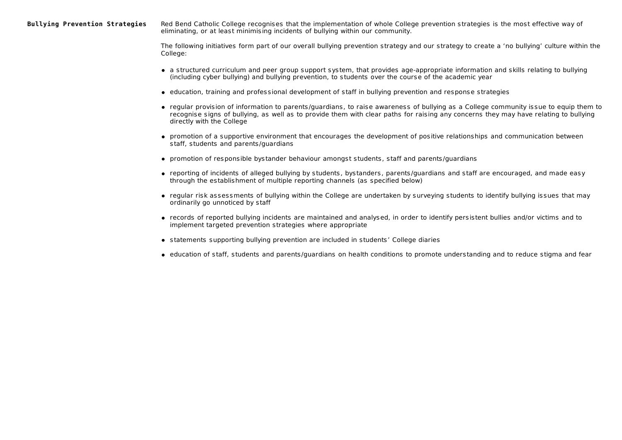**Bullying Prevention Strategies** Red Bend Catholic College recognises that the implementation of whole College prevention strategies is the most effective way of eliminating, or at least minimising incidents of bullying within our community.

> The following initiatives form part of our overall bullying prevention strategy and our strategy to create a 'no bullying' culture within the College:

- a structured curriculum and peer group support system, that provides age-appropriate information and skills relating to bullying (including cyber bullying) and bullying prevention, to students over the course of the academic year
- education, training and professional development of staff in bullying prevention and response strategies
- regular provision of information to parents/guardians, to raise awareness of bullying as a College community issue to equip them to recognise signs of bullying, as well as to provide them with clear paths for raising any concerns they may have relating to bullying directly with the College
- promotion of a supportive environment that encourages the development of positive relationships and communication between staff, students and parents/guardians
- promotion of responsible bystander behaviour amongst students, staff and parents/guardians
- reporting of incidents of alleged bullying by students, bystanders, parents/guardians and staff are encouraged, and made easy through the establishment of multiple reporting channels (as specified below)
- regular risk assessments of bullying within the College are undertaken by surveying students to identify bullying issues that may ordinarily go unnoticed by staff
- records of reported bullying incidents are maintained and analysed, in order to identify persistent bullies and/or victims and to implement targeted prevention strategies where appropriate
- statements supporting bullying prevention are included in students' College diaries
- education of staff, students and parents/guardians on health conditions to promote understanding and to reduce stigma and fear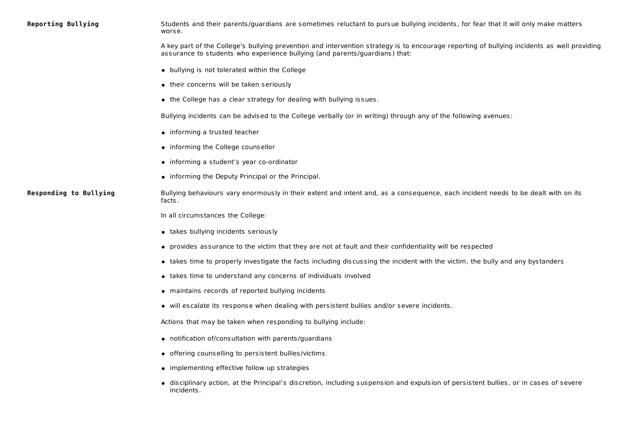|  | <b>Reporting Bullying</b> |
|--|---------------------------|
|--|---------------------------|

Students and their parents/guardians are sometimes reluctant to pursue bullying incidents, for fear that it will only make matters worse.

A key part of the College's bullying prevention and intervention strategy is to encourage reporting of bullying incidents as well providing assurance to students who experience bullying (and parents/guardians) that:

- bullying is not tolerated within the College
- their concerns will be taken seriously
- $\bullet$  the College has a clear strategy for dealing with bullying issues.

Bullying incidents can be advised to the College verbally (or in writing) through any of the following avenues:

- informing a trusted teacher
- informing the College counsellor
- informing a student's year co-ordinator
- informing the Deputy Principal or the Principal.

Responding to Bullying **Bullying behaviours vary enormously in their extent and intent and, as a consequence, each incident needs to be dealt with on its** facts.

In all circumstances the College:

- takes bullying incidents seriously
- provides assurance to the victim that they are not at fault and their confidentiality will be respected
- takes time to properly investigate the facts including discussing the incident with the victim, the bully and any bystanders
- takes time to understand any concerns of individuals involved
- maintains records of reported bullying incidents
- will escalate its response when dealing with persistent bullies and/or severe incidents.

Actions that may be taken when responding to bullying include:

- notification of/consultation with parents/guardians
- offering counselling to persistent bullies/victims
- implementing effective follow up strategies
- disciplinary action, at the Principal's discretion, including suspension and expulsion of persistent bullies, or in cases of severe incidents.